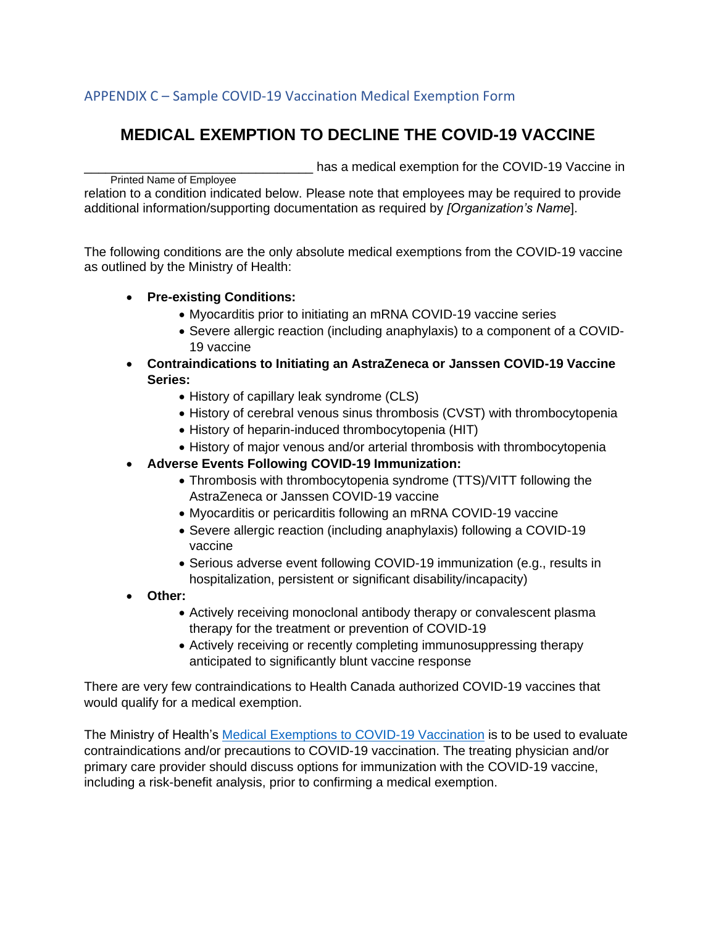## APPENDIX C – Sample COVID-19 Vaccination Medical Exemption Form

## **MEDICAL EXEMPTION TO DECLINE THE COVID-19 VACCINE**

has a medical exemption for the COVID-19 Vaccine in

Printed Name of Employee relation to a condition indicated below. Please note that employees may be required to provide additional information/supporting documentation as required by *[Organization's Name*].

The following conditions are the only absolute medical exemptions from the COVID-19 vaccine as outlined by the Ministry of Health:

## • **Pre-existing Conditions:**

- Myocarditis prior to initiating an mRNA COVID-19 vaccine series
- Severe allergic reaction (including anaphylaxis) to a component of a COVID-19 vaccine
- **Contraindications to Initiating an AstraZeneca or Janssen COVID-19 Vaccine Series:**
	- History of capillary leak syndrome (CLS)
	- History of cerebral venous sinus thrombosis (CVST) with thrombocytopenia
	- History of heparin-induced thrombocytopenia (HIT)
	- History of major venous and/or arterial thrombosis with thrombocytopenia
- **Adverse Events Following COVID-19 Immunization:**
	- Thrombosis with thrombocytopenia syndrome (TTS)/VITT following the AstraZeneca or Janssen COVID-19 vaccine
	- Myocarditis or pericarditis following an mRNA COVID-19 vaccine
	- Severe allergic reaction (including anaphylaxis) following a COVID-19 vaccine
	- Serious adverse event following COVID-19 immunization (e.g., results in hospitalization, persistent or significant disability/incapacity)
- **Other:**
	- Actively receiving monoclonal antibody therapy or convalescent plasma therapy for the treatment or prevention of COVID-19
	- Actively receiving or recently completing immunosuppressing therapy anticipated to significantly blunt vaccine response

There are very few contraindications to Health Canada authorized COVID-19 vaccines that would qualify for a medical exemption.

The Ministry of Health's [Medical Exemptions to COVID-19 Vaccination](https://health.gov.on.ca/en/pro/programs/publichealth/coronavirus/docs/vaccine/medical_exemptions_to_vaccination.pdf) is to be used to evaluate contraindications and/or precautions to COVID-19 vaccination. The treating physician and/or primary care provider should discuss options for immunization with the COVID-19 vaccine, including a risk-benefit analysis, prior to confirming a medical exemption.